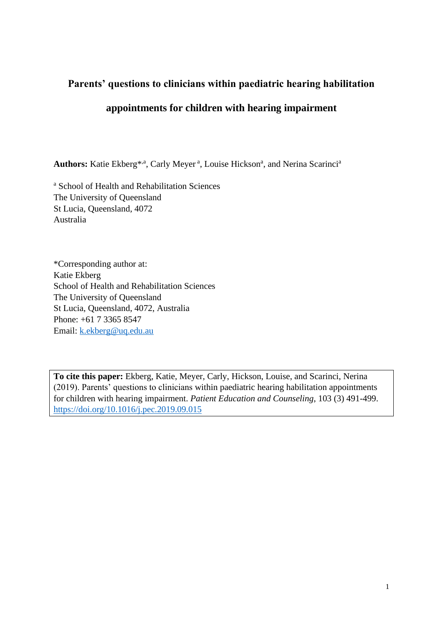# **Parents' questions to clinicians within paediatric hearing habilitation**

# **appointments for children with hearing impairment**

Authors: Katie Ekberg<sup>\*,a</sup>, Carly Meyer<sup>a</sup>, Louise Hickson<sup>a</sup>, and Nerina Scarinci<sup>a</sup>

<sup>a</sup> School of Health and Rehabilitation Sciences The University of Queensland St Lucia, Queensland, 4072 Australia

\*Corresponding author at: Katie Ekberg School of Health and Rehabilitation Sciences The University of Queensland St Lucia, Queensland, 4072, Australia Phone: +61 7 3365 8547 Email: [k.ekberg@uq.edu.au](mailto:k.ekberg@uq.edu.au)

**To cite this paper:** Ekberg, Katie, Meyer, Carly, Hickson, Louise, and Scarinci, Nerina (2019). Parents' questions to clinicians within paediatric hearing habilitation appointments for children with hearing impairment. *Patient Education and Counseling*, 103 (3) 491-499. <https://doi.org/10.1016/j.pec.2019.09.015>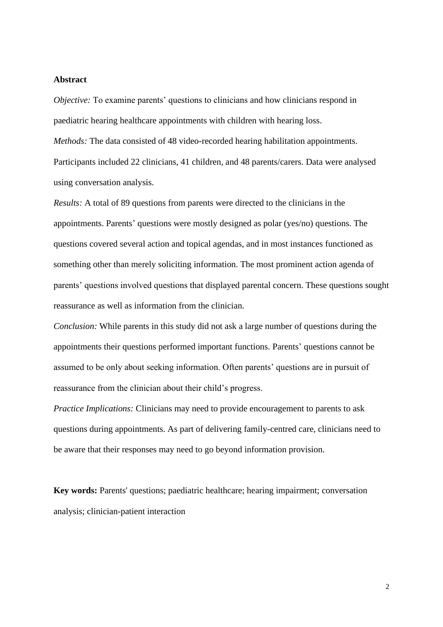#### **Abstract**

*Objective:* To examine parents' questions to clinicians and how clinicians respond in paediatric hearing healthcare appointments with children with hearing loss.

*Methods:* The data consisted of 48 video-recorded hearing habilitation appointments. Participants included 22 clinicians, 41 children, and 48 parents/carers. Data were analysed using conversation analysis.

*Results:* A total of 89 questions from parents were directed to the clinicians in the appointments. Parents' questions were mostly designed as polar (yes/no) questions. The questions covered several action and topical agendas, and in most instances functioned as something other than merely soliciting information. The most prominent action agenda of parents' questions involved questions that displayed parental concern. These questions sought reassurance as well as information from the clinician.

*Conclusion:* While parents in this study did not ask a large number of questions during the appointments their questions performed important functions. Parents' questions cannot be assumed to be only about seeking information. Often parents' questions are in pursuit of reassurance from the clinician about their child's progress.

*Practice Implications:* Clinicians may need to provide encouragement to parents to ask questions during appointments. As part of delivering family-centred care, clinicians need to be aware that their responses may need to go beyond information provision.

**Key words:** Parents' questions; paediatric healthcare; hearing impairment; conversation analysis; clinician-patient interaction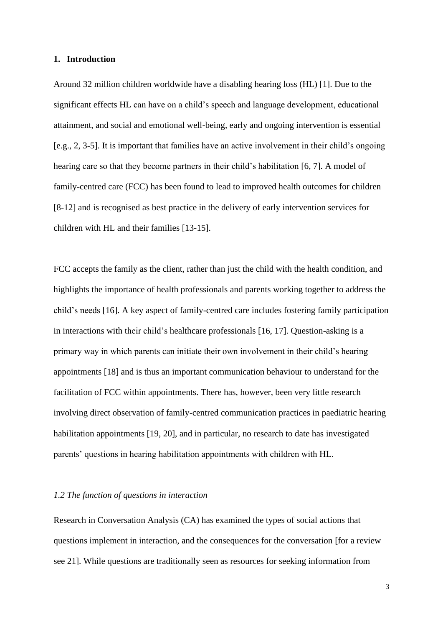#### **1. Introduction**

Around 32 million children worldwide have a disabling hearing loss (HL) [1]. Due to the significant effects HL can have on a child's speech and language development, educational attainment, and social and emotional well-being, early and ongoing intervention is essential [e.g., 2, 3-5]. It is important that families have an active involvement in their child's ongoing hearing care so that they become partners in their child's habilitation [6, 7]. A model of family-centred care (FCC) has been found to lead to improved health outcomes for children [8-12] and is recognised as best practice in the delivery of early intervention services for children with HL and their families [13-15].

FCC accepts the family as the client, rather than just the child with the health condition, and highlights the importance of health professionals and parents working together to address the child's needs [16]. A key aspect of family-centred care includes fostering family participation in interactions with their child's healthcare professionals [16, 17]. Question-asking is a primary way in which parents can initiate their own involvement in their child's hearing appointments [18] and is thus an important communication behaviour to understand for the facilitation of FCC within appointments. There has, however, been very little research involving direct observation of family-centred communication practices in paediatric hearing habilitation appointments [19, 20], and in particular, no research to date has investigated parents' questions in hearing habilitation appointments with children with HL.

## *1.2 The function of questions in interaction*

Research in Conversation Analysis (CA) has examined the types of social actions that questions implement in interaction, and the consequences for the conversation [for a review see 21]. While questions are traditionally seen as resources for seeking information from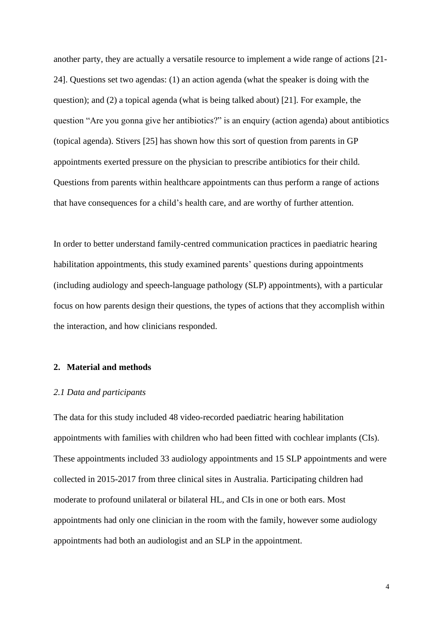another party, they are actually a versatile resource to implement a wide range of actions [21- 24]. Questions set two agendas: (1) an action agenda (what the speaker is doing with the question); and (2) a topical agenda (what is being talked about) [21]. For example, the question "Are you gonna give her antibiotics?" is an enquiry (action agenda) about antibiotics (topical agenda). Stivers [25] has shown how this sort of question from parents in GP appointments exerted pressure on the physician to prescribe antibiotics for their child. Questions from parents within healthcare appointments can thus perform a range of actions that have consequences for a child's health care, and are worthy of further attention.

In order to better understand family-centred communication practices in paediatric hearing habilitation appointments, this study examined parents' questions during appointments (including audiology and speech-language pathology (SLP) appointments), with a particular focus on how parents design their questions, the types of actions that they accomplish within the interaction, and how clinicians responded.

#### **2. Material and methods**

#### *2.1 Data and participants*

The data for this study included 48 video-recorded paediatric hearing habilitation appointments with families with children who had been fitted with cochlear implants (CIs). These appointments included 33 audiology appointments and 15 SLP appointments and were collected in 2015-2017 from three clinical sites in Australia. Participating children had moderate to profound unilateral or bilateral HL, and CIs in one or both ears. Most appointments had only one clinician in the room with the family, however some audiology appointments had both an audiologist and an SLP in the appointment.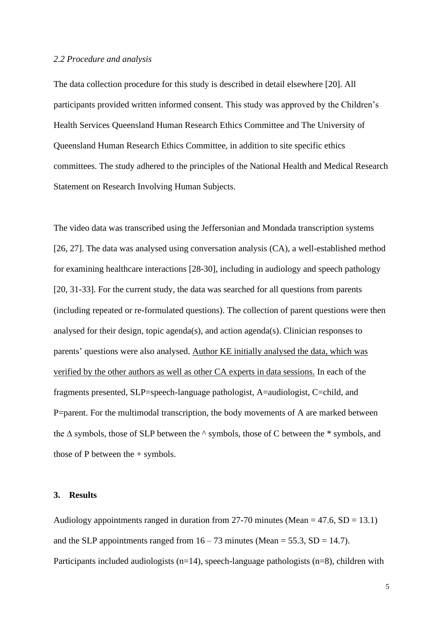#### *2.2 Procedure and analysis*

The data collection procedure for this study is described in detail elsewhere [20]. All participants provided written informed consent. This study was approved by the Children's Health Services Queensland Human Research Ethics Committee and The University of Queensland Human Research Ethics Committee, in addition to site specific ethics committees. The study adhered to the principles of the National Health and Medical Research Statement on Research Involving Human Subjects.

The video data was transcribed using the Jeffersonian and Mondada transcription systems [26, 27]. The data was analysed using conversation analysis (CA), a well-established method for examining healthcare interactions [28-30], including in audiology and speech pathology [20, 31-33]. For the current study, the data was searched for all questions from parents (including repeated or re-formulated questions). The collection of parent questions were then analysed for their design, topic agenda(s), and action agenda(s). Clinician responses to parents' questions were also analysed. Author KE initially analysed the data, which was verified by the other authors as well as other CA experts in data sessions. In each of the fragments presented, SLP=speech-language pathologist, A=audiologist, C=child, and P=parent. For the multimodal transcription, the body movements of A are marked between the ∆ symbols, those of SLP between the ^ symbols, those of C between the \* symbols, and those of P between the + symbols.

#### **3. Results**

Audiology appointments ranged in duration from 27-70 minutes (Mean  $=$  47.6, SD  $=$  13.1) and the SLP appointments ranged from  $16 - 73$  minutes (Mean = 55.3, SD = 14.7). Participants included audiologists (n=14), speech-language pathologists (n=8), children with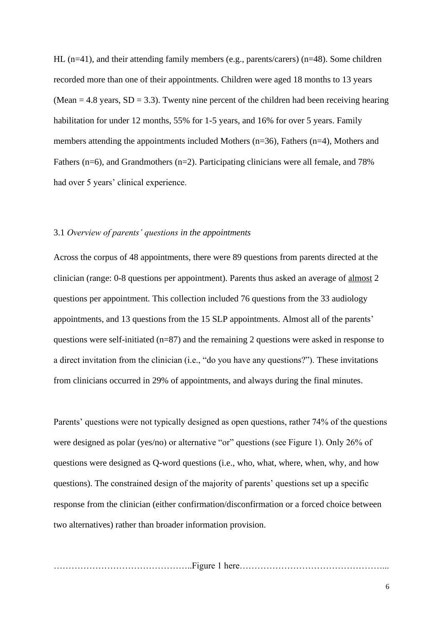HL (n=41), and their attending family members (e.g., parents/carers) (n=48). Some children recorded more than one of their appointments. Children were aged 18 months to 13 years (Mean  $= 4.8$  years, SD  $= 3.3$ ). Twenty nine percent of the children had been receiving hearing habilitation for under 12 months, 55% for 1-5 years, and 16% for over 5 years. Family members attending the appointments included Mothers (n=36), Fathers (n=4), Mothers and Fathers (n=6), and Grandmothers (n=2). Participating clinicians were all female, and 78% had over 5 years' clinical experience.

# 3.1 *Overview of parents' questions in the appointments*

Across the corpus of 48 appointments, there were 89 questions from parents directed at the clinician (range: 0-8 questions per appointment). Parents thus asked an average of almost 2 questions per appointment. This collection included 76 questions from the 33 audiology appointments, and 13 questions from the 15 SLP appointments. Almost all of the parents' questions were self-initiated (n=87) and the remaining 2 questions were asked in response to a direct invitation from the clinician (i.e., "do you have any questions?"). These invitations from clinicians occurred in 29% of appointments, and always during the final minutes.

Parents' questions were not typically designed as open questions, rather 74% of the questions were designed as polar (yes/no) or alternative "or" questions (see Figure 1). Only 26% of questions were designed as Q-word questions (i.e., who, what, where, when, why, and how questions). The constrained design of the majority of parents' questions set up a specific response from the clinician (either confirmation/disconfirmation or a forced choice between two alternatives) rather than broader information provision.

………………………………………..Figure 1 here…………………………………………...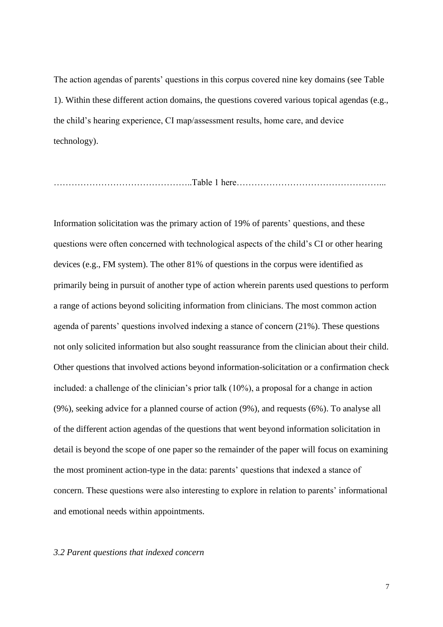The action agendas of parents' questions in this corpus covered nine key domains (see Table 1). Within these different action domains, the questions covered various topical agendas (e.g., the child's hearing experience, CI map/assessment results, home care, and device technology).

………………………………………..Table 1 here…………………………………………...

Information solicitation was the primary action of 19% of parents' questions, and these questions were often concerned with technological aspects of the child's CI or other hearing devices (e.g., FM system). The other 81% of questions in the corpus were identified as primarily being in pursuit of another type of action wherein parents used questions to perform a range of actions beyond soliciting information from clinicians. The most common action agenda of parents' questions involved indexing a stance of concern (21%). These questions not only solicited information but also sought reassurance from the clinician about their child. Other questions that involved actions beyond information-solicitation or a confirmation check included: a challenge of the clinician's prior talk (10%), a proposal for a change in action (9%), seeking advice for a planned course of action (9%), and requests (6%). To analyse all of the different action agendas of the questions that went beyond information solicitation in detail is beyond the scope of one paper so the remainder of the paper will focus on examining the most prominent action-type in the data: parents' questions that indexed a stance of concern. These questions were also interesting to explore in relation to parents' informational and emotional needs within appointments.

#### *3.2 Parent questions that indexed concern*

7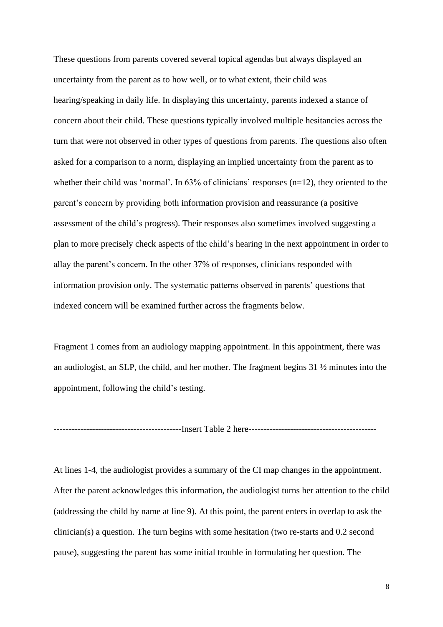These questions from parents covered several topical agendas but always displayed an uncertainty from the parent as to how well, or to what extent, their child was hearing/speaking in daily life. In displaying this uncertainty, parents indexed a stance of concern about their child. These questions typically involved multiple hesitancies across the turn that were not observed in other types of questions from parents. The questions also often asked for a comparison to a norm, displaying an implied uncertainty from the parent as to whether their child was 'normal'. In 63% of clinicians' responses (n=12), they oriented to the parent's concern by providing both information provision and reassurance (a positive assessment of the child's progress). Their responses also sometimes involved suggesting a plan to more precisely check aspects of the child's hearing in the next appointment in order to allay the parent's concern. In the other 37% of responses, clinicians responded with information provision only. The systematic patterns observed in parents' questions that indexed concern will be examined further across the fragments below.

Fragment 1 comes from an audiology mapping appointment. In this appointment, there was an audiologist, an SLP, the child, and her mother. The fragment begins 31 ½ minutes into the appointment, following the child's testing.

-------------------------------------------Insert Table 2 here-------------------------------------------

At lines 1-4, the audiologist provides a summary of the CI map changes in the appointment. After the parent acknowledges this information, the audiologist turns her attention to the child (addressing the child by name at line 9). At this point, the parent enters in overlap to ask the clinician(s) a question. The turn begins with some hesitation (two re-starts and 0.2 second pause), suggesting the parent has some initial trouble in formulating her question. The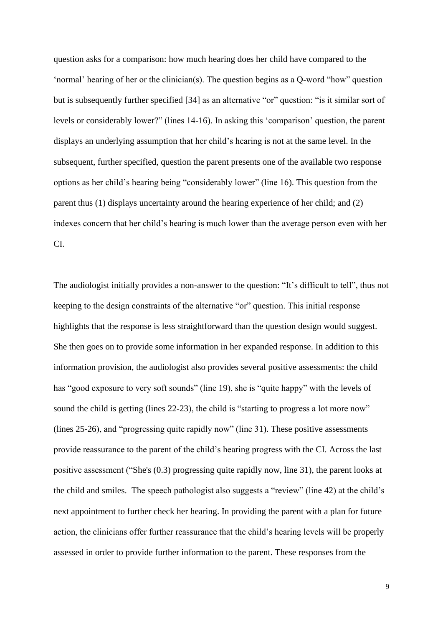question asks for a comparison: how much hearing does her child have compared to the 'normal' hearing of her or the clinician(s). The question begins as a Q-word "how" question but is subsequently further specified [34] as an alternative "or" question: "is it similar sort of levels or considerably lower?" (lines 14-16). In asking this 'comparison' question, the parent displays an underlying assumption that her child's hearing is not at the same level. In the subsequent, further specified, question the parent presents one of the available two response options as her child's hearing being "considerably lower" (line 16). This question from the parent thus (1) displays uncertainty around the hearing experience of her child; and (2) indexes concern that her child's hearing is much lower than the average person even with her CI.

The audiologist initially provides a non-answer to the question: "It's difficult to tell", thus not keeping to the design constraints of the alternative "or" question. This initial response highlights that the response is less straightforward than the question design would suggest. She then goes on to provide some information in her expanded response. In addition to this information provision, the audiologist also provides several positive assessments: the child has "good exposure to very soft sounds" (line 19), she is "quite happy" with the levels of sound the child is getting (lines 22-23), the child is "starting to progress a lot more now" (lines 25-26), and "progressing quite rapidly now" (line 31). These positive assessments provide reassurance to the parent of the child's hearing progress with the CI. Across the last positive assessment ("She's (0.3) progressing quite rapidly now, line 31), the parent looks at the child and smiles. The speech pathologist also suggests a "review" (line 42) at the child's next appointment to further check her hearing. In providing the parent with a plan for future action, the clinicians offer further reassurance that the child's hearing levels will be properly assessed in order to provide further information to the parent. These responses from the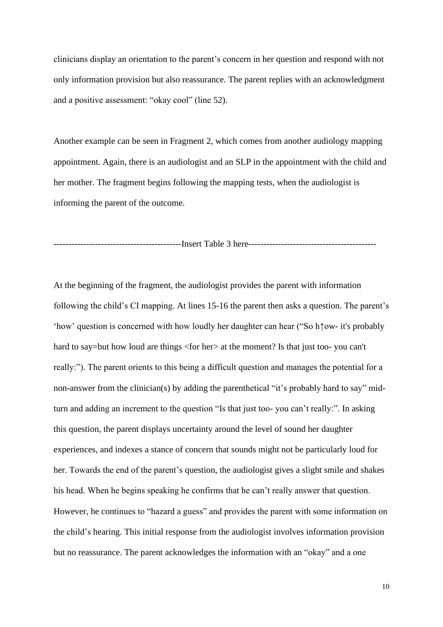clinicians display an orientation to the parent's concern in her question and respond with not only information provision but also reassurance. The parent replies with an acknowledgment and a positive assessment: "okay cool" (line 52).

Another example can be seen in Fragment 2, which comes from another audiology mapping appointment. Again, there is an audiologist and an SLP in the appointment with the child and her mother. The fragment begins following the mapping tests, when the audiologist is informing the parent of the outcome.

-------------------------------------------Insert Table 3 here-------------------------------------------

At the beginning of the fragment, the audiologist provides the parent with information following the child's CI mapping. At lines 15-16 the parent then asks a question. The parent's 'how' question is concerned with how loudly her daughter can hear ("So h↑ow- it's probably hard to say=but how loud are things <for her> at the moment? Is that just too- you can't really:"). The parent orients to this being a difficult question and manages the potential for a non-answer from the clinician(s) by adding the parenthetical "it's probably hard to say" midturn and adding an increment to the question "Is that just too- you can't really:". In asking this question, the parent displays uncertainty around the level of sound her daughter experiences, and indexes a stance of concern that sounds might not be particularly loud for her. Towards the end of the parent's question, the audiologist gives a slight smile and shakes his head. When he begins speaking he confirms that he can't really answer that question. However, he continues to "hazard a guess" and provides the parent with some information on the child's hearing. This initial response from the audiologist involves information provision but no reassurance. The parent acknowledges the information with an "okay" and a one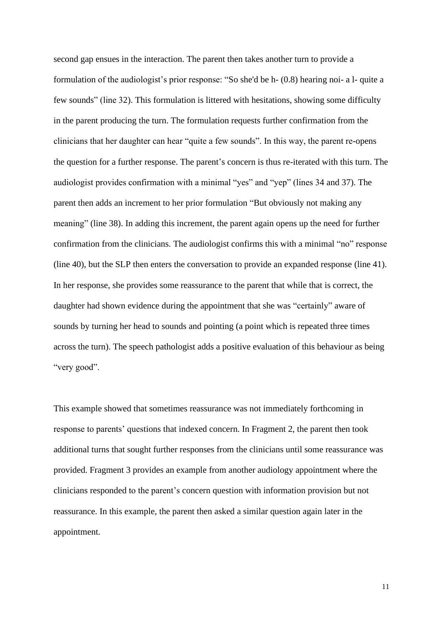second gap ensues in the interaction. The parent then takes another turn to provide a formulation of the audiologist's prior response: "So she'd be h- (0.8) hearing noi- a l- quite a few sounds" (line 32). This formulation is littered with hesitations, showing some difficulty in the parent producing the turn. The formulation requests further confirmation from the clinicians that her daughter can hear "quite a few sounds". In this way, the parent re-opens the question for a further response. The parent's concern is thus re-iterated with this turn. The audiologist provides confirmation with a minimal "yes" and "yep" (lines 34 and 37). The parent then adds an increment to her prior formulation "But obviously not making any meaning" (line 38). In adding this increment, the parent again opens up the need for further confirmation from the clinicians. The audiologist confirms this with a minimal "no" response (line 40), but the SLP then enters the conversation to provide an expanded response (line 41). In her response, she provides some reassurance to the parent that while that is correct, the daughter had shown evidence during the appointment that she was "certainly" aware of sounds by turning her head to sounds and pointing (a point which is repeated three times across the turn). The speech pathologist adds a positive evaluation of this behaviour as being "very good".

This example showed that sometimes reassurance was not immediately forthcoming in response to parents' questions that indexed concern. In Fragment 2, the parent then took additional turns that sought further responses from the clinicians until some reassurance was provided. Fragment 3 provides an example from another audiology appointment where the clinicians responded to the parent's concern question with information provision but not reassurance. In this example, the parent then asked a similar question again later in the appointment.

11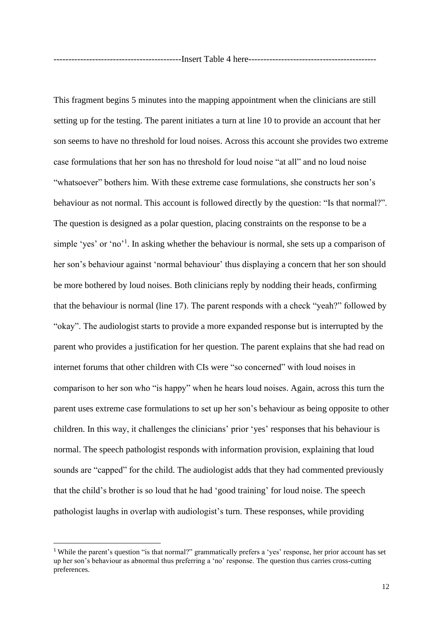This fragment begins 5 minutes into the mapping appointment when the clinicians are still setting up for the testing. The parent initiates a turn at line 10 to provide an account that her son seems to have no threshold for loud noises. Across this account she provides two extreme case formulations that her son has no threshold for loud noise "at all" and no loud noise "whatsoever" bothers him. With these extreme case formulations, she constructs her son's behaviour as not normal. This account is followed directly by the question: "Is that normal?". The question is designed as a polar question, placing constraints on the response to be a simple 'yes' or 'no'<sup>1</sup>. In asking whether the behaviour is normal, she sets up a comparison of her son's behaviour against 'normal behaviour' thus displaying a concern that her son should be more bothered by loud noises. Both clinicians reply by nodding their heads, confirming that the behaviour is normal (line 17). The parent responds with a check "yeah?" followed by "okay". The audiologist starts to provide a more expanded response but is interrupted by the parent who provides a justification for her question. The parent explains that she had read on internet forums that other children with CIs were "so concerned" with loud noises in comparison to her son who "is happy" when he hears loud noises. Again, across this turn the parent uses extreme case formulations to set up her son's behaviour as being opposite to other children. In this way, it challenges the clinicians' prior 'yes' responses that his behaviour is normal. The speech pathologist responds with information provision, explaining that loud sounds are "capped" for the child. The audiologist adds that they had commented previously that the child's brother is so loud that he had 'good training' for loud noise. The speech pathologist laughs in overlap with audiologist's turn. These responses, while providing

<sup>&</sup>lt;sup>1</sup> While the parent's question "is that normal?" grammatically prefers a 'yes' response, her prior account has set up her son's behaviour as abnormal thus preferring a 'no' response. The question thus carries cross-cutting preferences.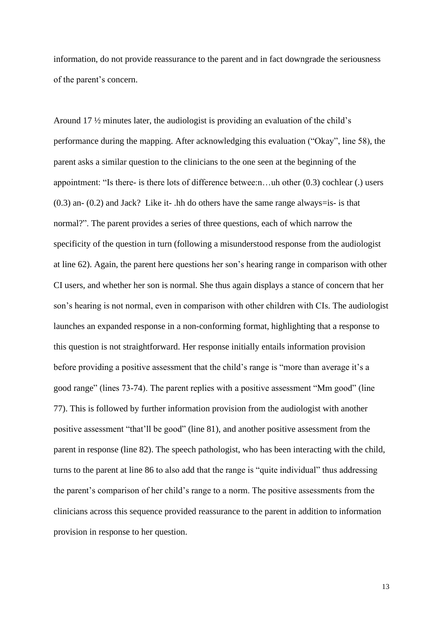information, do not provide reassurance to the parent and in fact downgrade the seriousness of the parent's concern.

Around 17 ½ minutes later, the audiologist is providing an evaluation of the child's performance during the mapping. After acknowledging this evaluation ("Okay", line 58), the parent asks a similar question to the clinicians to the one seen at the beginning of the appointment: "Is there- is there lots of difference betwee:n…uh other (0.3) cochlear (.) users  $(0.3)$  an-  $(0.2)$  and Jack? Like it- .hh do others have the same range always=is- is that normal?". The parent provides a series of three questions, each of which narrow the specificity of the question in turn (following a misunderstood response from the audiologist at line 62). Again, the parent here questions her son's hearing range in comparison with other CI users, and whether her son is normal. She thus again displays a stance of concern that her son's hearing is not normal, even in comparison with other children with CIs. The audiologist launches an expanded response in a non-conforming format, highlighting that a response to this question is not straightforward. Her response initially entails information provision before providing a positive assessment that the child's range is "more than average it's a good range" (lines 73-74). The parent replies with a positive assessment "Mm good" (line 77). This is followed by further information provision from the audiologist with another positive assessment "that'll be good" (line 81), and another positive assessment from the parent in response (line 82). The speech pathologist, who has been interacting with the child, turns to the parent at line 86 to also add that the range is "quite individual" thus addressing the parent's comparison of her child's range to a norm. The positive assessments from the clinicians across this sequence provided reassurance to the parent in addition to information provision in response to her question.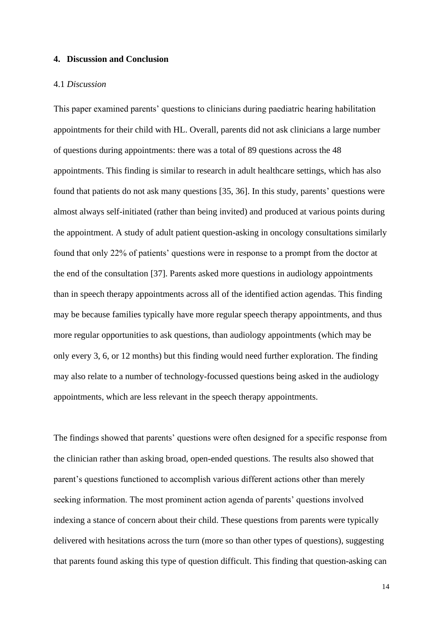#### **4. Discussion and Conclusion**

#### 4.1 *Discussion*

This paper examined parents' questions to clinicians during paediatric hearing habilitation appointments for their child with HL. Overall, parents did not ask clinicians a large number of questions during appointments: there was a total of 89 questions across the 48 appointments. This finding is similar to research in adult healthcare settings, which has also found that patients do not ask many questions [35, 36]. In this study, parents' questions were almost always self-initiated (rather than being invited) and produced at various points during the appointment. A study of adult patient question-asking in oncology consultations similarly found that only 22% of patients' questions were in response to a prompt from the doctor at the end of the consultation [37]. Parents asked more questions in audiology appointments than in speech therapy appointments across all of the identified action agendas. This finding may be because families typically have more regular speech therapy appointments, and thus more regular opportunities to ask questions, than audiology appointments (which may be only every 3, 6, or 12 months) but this finding would need further exploration. The finding may also relate to a number of technology-focussed questions being asked in the audiology appointments, which are less relevant in the speech therapy appointments.

The findings showed that parents' questions were often designed for a specific response from the clinician rather than asking broad, open-ended questions. The results also showed that parent's questions functioned to accomplish various different actions other than merely seeking information. The most prominent action agenda of parents' questions involved indexing a stance of concern about their child. These questions from parents were typically delivered with hesitations across the turn (more so than other types of questions), suggesting that parents found asking this type of question difficult. This finding that question-asking can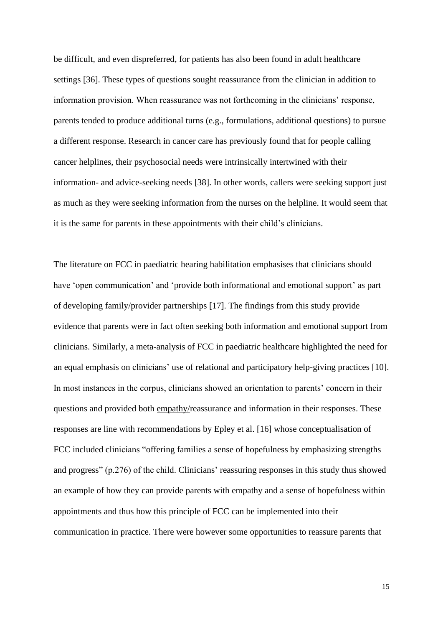be difficult, and even dispreferred, for patients has also been found in adult healthcare settings [36]. These types of questions sought reassurance from the clinician in addition to information provision. When reassurance was not forthcoming in the clinicians' response, parents tended to produce additional turns (e.g., formulations, additional questions) to pursue a different response. Research in cancer care has previously found that for people calling cancer helplines, their psychosocial needs were intrinsically intertwined with their information- and advice-seeking needs [38]. In other words, callers were seeking support just as much as they were seeking information from the nurses on the helpline. It would seem that it is the same for parents in these appointments with their child's clinicians.

The literature on FCC in paediatric hearing habilitation emphasises that clinicians should have 'open communication' and 'provide both informational and emotional support' as part of developing family/provider partnerships [17]. The findings from this study provide evidence that parents were in fact often seeking both information and emotional support from clinicians. Similarly, a meta-analysis of FCC in paediatric healthcare highlighted the need for an equal emphasis on clinicians' use of relational and participatory help-giving practices [10]. In most instances in the corpus, clinicians showed an orientation to parents' concern in their questions and provided both empathy/reassurance and information in their responses. These responses are line with recommendations by Epley et al. [16] whose conceptualisation of FCC included clinicians "offering families a sense of hopefulness by emphasizing strengths and progress" (p.276) of the child. Clinicians' reassuring responses in this study thus showed an example of how they can provide parents with empathy and a sense of hopefulness within appointments and thus how this principle of FCC can be implemented into their communication in practice. There were however some opportunities to reassure parents that

15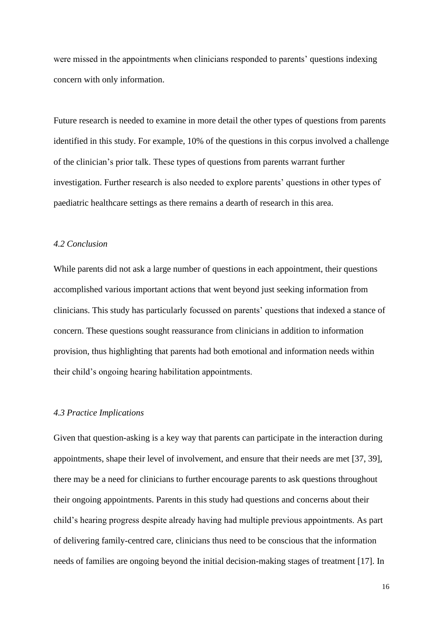were missed in the appointments when clinicians responded to parents' questions indexing concern with only information.

Future research is needed to examine in more detail the other types of questions from parents identified in this study. For example, 10% of the questions in this corpus involved a challenge of the clinician's prior talk. These types of questions from parents warrant further investigation. Further research is also needed to explore parents' questions in other types of paediatric healthcare settings as there remains a dearth of research in this area.

#### *4.2 Conclusion*

While parents did not ask a large number of questions in each appointment, their questions accomplished various important actions that went beyond just seeking information from clinicians. This study has particularly focussed on parents' questions that indexed a stance of concern. These questions sought reassurance from clinicians in addition to information provision, thus highlighting that parents had both emotional and information needs within their child's ongoing hearing habilitation appointments.

## *4.3 Practice Implications*

Given that question-asking is a key way that parents can participate in the interaction during appointments, shape their level of involvement, and ensure that their needs are met [37, 39], there may be a need for clinicians to further encourage parents to ask questions throughout their ongoing appointments. Parents in this study had questions and concerns about their child's hearing progress despite already having had multiple previous appointments. As part of delivering family-centred care, clinicians thus need to be conscious that the information needs of families are ongoing beyond the initial decision-making stages of treatment [17]. In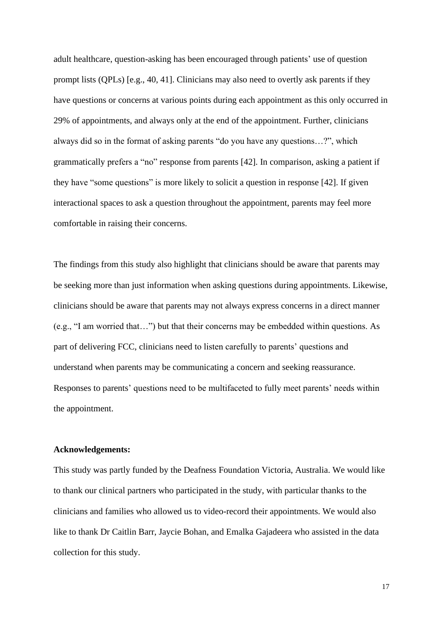adult healthcare, question-asking has been encouraged through patients' use of question prompt lists (QPLs) [e.g., 40, 41]. Clinicians may also need to overtly ask parents if they have questions or concerns at various points during each appointment as this only occurred in 29% of appointments, and always only at the end of the appointment. Further, clinicians always did so in the format of asking parents "do you have any questions…?", which grammatically prefers a "no" response from parents [42]. In comparison, asking a patient if they have "some questions" is more likely to solicit a question in response [42]. If given interactional spaces to ask a question throughout the appointment, parents may feel more comfortable in raising their concerns.

The findings from this study also highlight that clinicians should be aware that parents may be seeking more than just information when asking questions during appointments. Likewise, clinicians should be aware that parents may not always express concerns in a direct manner (e.g., "I am worried that…") but that their concerns may be embedded within questions. As part of delivering FCC, clinicians need to listen carefully to parents' questions and understand when parents may be communicating a concern and seeking reassurance. Responses to parents' questions need to be multifaceted to fully meet parents' needs within the appointment.

## **Acknowledgements:**

This study was partly funded by the Deafness Foundation Victoria, Australia. We would like to thank our clinical partners who participated in the study, with particular thanks to the clinicians and families who allowed us to video-record their appointments. We would also like to thank Dr Caitlin Barr, Jaycie Bohan, and Emalka Gajadeera who assisted in the data collection for this study.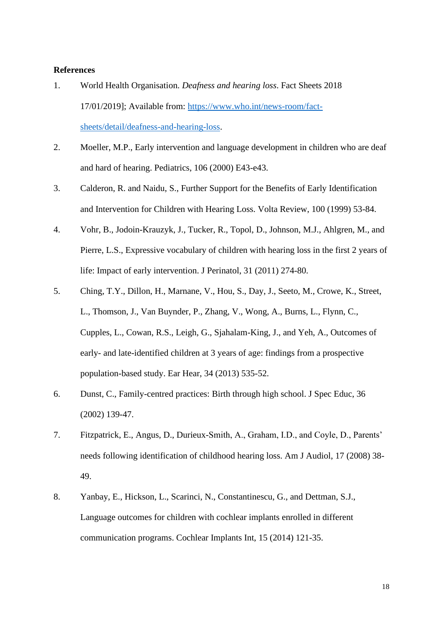# **References**

- 1. World Health Organisation. *Deafness and hearing loss*. Fact Sheets 2018 17/01/2019]; Available from: [https://www.who.int/news-room/fact](https://www.who.int/news-room/fact-sheets/detail/deafness-and-hearing-loss)[sheets/detail/deafness-and-hearing-loss.](https://www.who.int/news-room/fact-sheets/detail/deafness-and-hearing-loss)
- 2. Moeller, M.P., Early intervention and language development in children who are deaf and hard of hearing. Pediatrics, 106 (2000) E43-e43.
- 3. Calderon, R. and Naidu, S., Further Support for the Benefits of Early Identification and Intervention for Children with Hearing Loss. Volta Review, 100 (1999) 53-84.
- 4. Vohr, B., Jodoin-Krauzyk, J., Tucker, R., Topol, D., Johnson, M.J., Ahlgren, M., and Pierre, L.S., Expressive vocabulary of children with hearing loss in the first 2 years of life: Impact of early intervention. J Perinatol, 31 (2011) 274-80.
- 5. Ching, T.Y., Dillon, H., Marnane, V., Hou, S., Day, J., Seeto, M., Crowe, K., Street, L., Thomson, J., Van Buynder, P., Zhang, V., Wong, A., Burns, L., Flynn, C., Cupples, L., Cowan, R.S., Leigh, G., Sjahalam-King, J., and Yeh, A., Outcomes of early- and late-identified children at 3 years of age: findings from a prospective population-based study. Ear Hear, 34 (2013) 535-52.
- 6. Dunst, C., Family-centred practices: Birth through high school. J Spec Educ, 36 (2002) 139-47.
- 7. Fitzpatrick, E., Angus, D., Durieux-Smith, A., Graham, I.D., and Coyle, D., Parents' needs following identification of childhood hearing loss. Am J Audiol, 17 (2008) 38- 49.
- 8. Yanbay, E., Hickson, L., Scarinci, N., Constantinescu, G., and Dettman, S.J., Language outcomes for children with cochlear implants enrolled in different communication programs. Cochlear Implants Int, 15 (2014) 121-35.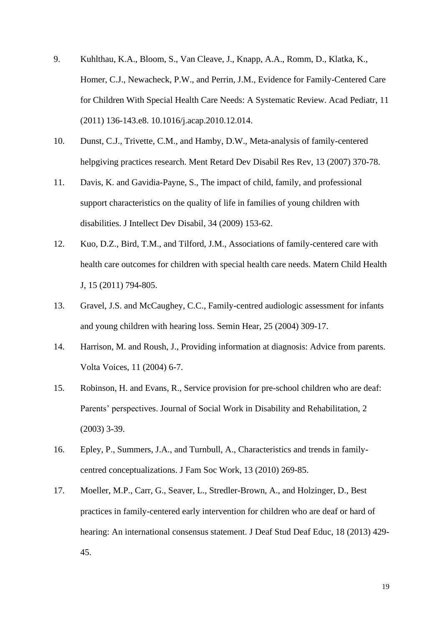- 9. Kuhlthau, K.A., Bloom, S., Van Cleave, J., Knapp, A.A., Romm, D., Klatka, K., Homer, C.J., Newacheck, P.W., and Perrin, J.M., Evidence for Family-Centered Care for Children With Special Health Care Needs: A Systematic Review. Acad Pediatr, 11 (2011) 136-143.e8. 10.1016/j.acap.2010.12.014.
- 10. Dunst, C.J., Trivette, C.M., and Hamby, D.W., Meta-analysis of family-centered helpgiving practices research. Ment Retard Dev Disabil Res Rev, 13 (2007) 370-78.
- 11. Davis, K. and Gavidia-Payne, S., The impact of child, family, and professional support characteristics on the quality of life in families of young children with disabilities. J Intellect Dev Disabil, 34 (2009) 153-62.
- 12. Kuo, D.Z., Bird, T.M., and Tilford, J.M., Associations of family-centered care with health care outcomes for children with special health care needs. Matern Child Health J, 15 (2011) 794-805.
- 13. Gravel, J.S. and McCaughey, C.C., Family-centred audiologic assessment for infants and young children with hearing loss. Semin Hear, 25 (2004) 309-17.
- 14. Harrison, M. and Roush, J., Providing information at diagnosis: Advice from parents. Volta Voices, 11 (2004) 6-7.
- 15. Robinson, H. and Evans, R., Service provision for pre-school children who are deaf: Parents' perspectives. Journal of Social Work in Disability and Rehabilitation, 2 (2003) 3-39.
- 16. Epley, P., Summers, J.A., and Turnbull, A., Characteristics and trends in familycentred conceptualizations. J Fam Soc Work, 13 (2010) 269-85.
- 17. Moeller, M.P., Carr, G., Seaver, L., Stredler-Brown, A., and Holzinger, D., Best practices in family-centered early intervention for children who are deaf or hard of hearing: An international consensus statement. J Deaf Stud Deaf Educ, 18 (2013) 429- 45.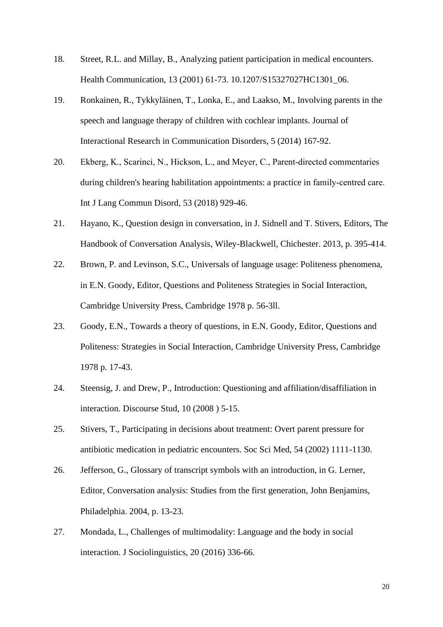- 18. Street, R.L. and Millay, B., Analyzing patient participation in medical encounters. Health Communication, 13 (2001) 61-73. 10.1207/S15327027HC1301\_06.
- 19. Ronkainen, R., Tykkyläinen, T., Lonka, E., and Laakso, M., Involving parents in the speech and language therapy of children with cochlear implants. Journal of Interactional Research in Communication Disorders, 5 (2014) 167-92.
- 20. Ekberg, K., Scarinci, N., Hickson, L., and Meyer, C., Parent‐directed commentaries during children's hearing habilitation appointments: a practice in family‐centred care. Int J Lang Commun Disord, 53 (2018) 929-46.
- 21. Hayano, K., Question design in conversation, in J. Sidnell and T. Stivers, Editors, The Handbook of Conversation Analysis, Wiley-Blackwell, Chichester. 2013, p. 395-414.
- 22. Brown, P. and Levinson, S.C., Universals of language usage: Politeness phenomena, in E.N. Goody, Editor, Questions and Politeness Strategies in Social Interaction, Cambridge University Press, Cambridge 1978 p. 56-3ll.
- 23. Goody, E.N., Towards a theory of questions, in E.N. Goody, Editor, Questions and Politeness: Strategies in Social Interaction, Cambridge University Press, Cambridge 1978 p. 17-43.
- 24. Steensig, J. and Drew, P., Introduction: Questioning and affiliation/disaffiliation in interaction. Discourse Stud, 10 (2008 ) 5-15.
- 25. Stivers, T., Participating in decisions about treatment: Overt parent pressure for antibiotic medication in pediatric encounters. Soc Sci Med, 54 (2002) 1111-1130.
- 26. Jefferson, G., Glossary of transcript symbols with an introduction, in G. Lerner, Editor, Conversation analysis: Studies from the first generation, John Benjamins, Philadelphia. 2004, p. 13-23.
- 27. Mondada, L., Challenges of multimodality: Language and the body in social interaction. J Sociolinguistics, 20 (2016) 336-66.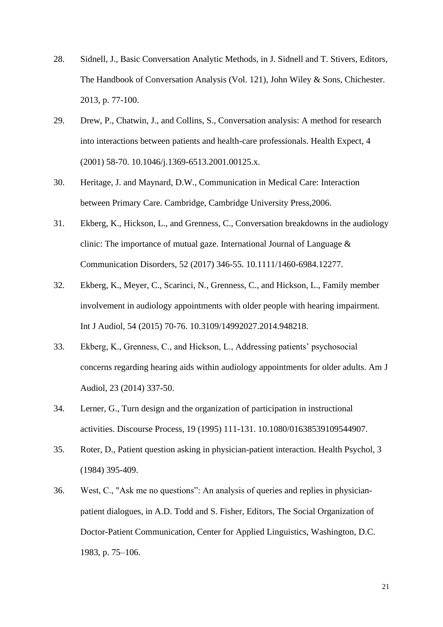- 28. Sidnell, J., Basic Conversation Analytic Methods, in J. Sidnell and T. Stivers, Editors, The Handbook of Conversation Analysis (Vol. 121), John Wiley & Sons, Chichester. 2013, p. 77-100.
- 29. Drew, P., Chatwin, J., and Collins, S., Conversation analysis: A method for research into interactions between patients and health-care professionals. Health Expect, 4 (2001) 58-70. 10.1046/j.1369-6513.2001.00125.x.
- 30. Heritage, J. and Maynard, D.W., Communication in Medical Care: Interaction between Primary Care. Cambridge, Cambridge University Press,2006.
- 31. Ekberg, K., Hickson, L., and Grenness, C., Conversation breakdowns in the audiology clinic: The importance of mutual gaze. International Journal of Language  $\&$ Communication Disorders, 52 (2017) 346-55. 10.1111/1460-6984.12277.
- 32. Ekberg, K., Meyer, C., Scarinci, N., Grenness, C., and Hickson, L., Family member involvement in audiology appointments with older people with hearing impairment. Int J Audiol, 54 (2015) 70-76. 10.3109/14992027.2014.948218.
- 33. Ekberg, K., Grenness, C., and Hickson, L., Addressing patients' psychosocial concerns regarding hearing aids within audiology appointments for older adults. Am J Audiol, 23 (2014) 337-50.
- 34. Lerner, G., Turn design and the organization of participation in instructional activities. Discourse Process, 19 (1995) 111-131. 10.1080/01638539109544907.
- 35. Roter, D., Patient question asking in physician-patient interaction. Health Psychol, 3 (1984) 395-409.
- 36. West, C., "Ask me no questions": An analysis of queries and replies in physicianpatient dialogues, in A.D. Todd and S. Fisher, Editors, The Social Organization of Doctor-Patient Communication, Center for Applied Linguistics, Washington, D.C. 1983, p. 75–106.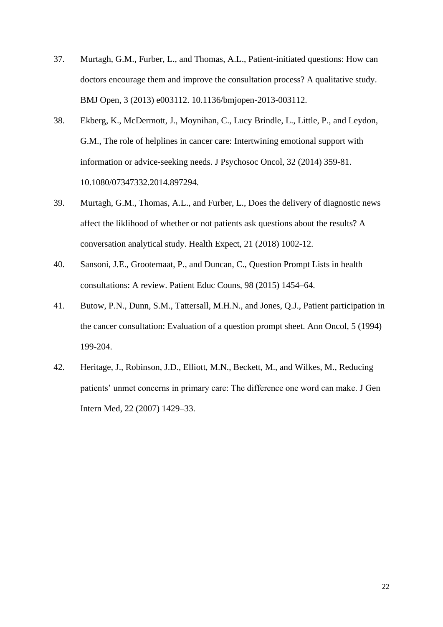- 37. Murtagh, G.M., Furber, L., and Thomas, A.L., Patient-initiated questions: How can doctors encourage them and improve the consultation process? A qualitative study. BMJ Open, 3 (2013) e003112. 10.1136/bmjopen-2013-003112.
- 38. Ekberg, K., McDermott, J., Moynihan, C., Lucy Brindle, L., Little, P., and Leydon, G.M., The role of helplines in cancer care: Intertwining emotional support with information or advice-seeking needs. J Psychosoc Oncol, 32 (2014) 359-81. 10.1080/07347332.2014.897294.
- 39. Murtagh, G.M., Thomas, A.L., and Furber, L., Does the delivery of diagnostic news affect the liklihood of whether or not patients ask questions about the results? A conversation analytical study. Health Expect, 21 (2018) 1002-12.
- 40. Sansoni, J.E., Grootemaat, P., and Duncan, C., Question Prompt Lists in health consultations: A review. Patient Educ Couns, 98 (2015) 1454–64.
- 41. Butow, P.N., Dunn, S.M., Tattersall, M.H.N., and Jones, Q.J., Patient participation in the cancer consultation: Evaluation of a question prompt sheet. Ann Oncol, 5 (1994) 199-204.
- 42. Heritage, J., Robinson, J.D., Elliott, M.N., Beckett, M., and Wilkes, M., Reducing patients' unmet concerns in primary care: The difference one word can make. J Gen Intern Med, 22 (2007) 1429–33.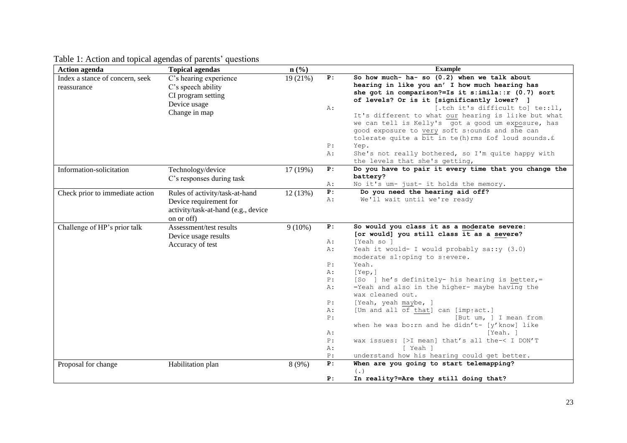| <b>Action agenda</b>                           | <b>Topical agendas</b>                                                                                        | $n\left(\frac{0}{0}\right)$ |                                                                                         | <b>Example</b>                                                                                                                                                                                                                                                                                                                                                                                                                                                                                                                                                                                                                      |
|------------------------------------------------|---------------------------------------------------------------------------------------------------------------|-----------------------------|-----------------------------------------------------------------------------------------|-------------------------------------------------------------------------------------------------------------------------------------------------------------------------------------------------------------------------------------------------------------------------------------------------------------------------------------------------------------------------------------------------------------------------------------------------------------------------------------------------------------------------------------------------------------------------------------------------------------------------------------|
| Index a stance of concern, seek<br>reassurance | C's hearing experience<br>C's speech ability<br>CI program setting<br>Device usage<br>Change in map           | 19(21%)                     | P:<br>A :<br>P:<br>$A$ :                                                                | So how much- ha- so (0.2) when we talk about<br>hearing in like you an' I how much hearing has<br>she got in comparison?=Is it s:imila::r (0.7) sort<br>of levels? Or is it [significantly lower? ]<br>[.tch it's difficult to] te::11,<br>It's different to what our hearing is li:ke but what<br>we can tell is Kelly's got a good um exposure, has<br>good exposure to very soft stounds and she can<br>tolerate quite a bit in te(h) rms fof loud sounds.f<br>Yep.<br>She's not really bothered, so I'm quite happy with<br>the levels that she's getting,                                                                      |
| Information-solicitation                       | Technology/device<br>C's responses during task                                                                | 17 (19%)                    | P:<br>A:                                                                                | Do you have to pair it every time that you change the<br>battery?<br>No it's um- just- it holds the memory.                                                                                                                                                                                                                                                                                                                                                                                                                                                                                                                         |
| Check prior to immediate action                | Rules of activity/task-at-hand<br>Device requirement for<br>activity/task-at-hand (e.g., device<br>on or off) | 12(13%)                     | P:<br>Α:                                                                                | Do you need the hearing aid off?<br>We'll wait until we're ready                                                                                                                                                                                                                                                                                                                                                                                                                                                                                                                                                                    |
| Challenge of HP's prior talk                   | Assessment/test results<br>Device usage results<br>Accuracy of test                                           | $9(10\%)$                   | P:<br>$A$ :<br>A:<br>P:<br>A :<br>P:<br>A:<br>P:<br>Α:<br>P:<br>Α:<br>P:<br>$A$ :<br>P: | So would you class it as a moderate severe:<br>[or would] you still class it as a severe?<br>[Yeah so ]<br>Yeah it would- I would probably sa:: y (3.0)<br>moderate sl <sub>10ping</sub> to s <sub>1</sub> evere.<br>Yeah.<br>[Yep,]<br>[So ] he's definitely- his hearing is better, =<br>=Yeah and also in the higher- maybe having the<br>wax cleaned out.<br>[Yeah, yeah maybe, ]<br>[Um and all of that] can [imptact.]<br>[But um, ] I mean from<br>when he was bo: rn and he didn't- [y'know] like<br>[Yeah. ]<br>wax issues: [>I mean] that's all the-< I DON'T<br>I Yeah l<br>understand how his hearing could get better. |
| Proposal for change                            | Habilitation plan                                                                                             | 8(9%)                       | P:<br>P:                                                                                | When are you going to start telemapping?<br>$(\cdot)$<br>In reality?=Are they still doing that?                                                                                                                                                                                                                                                                                                                                                                                                                                                                                                                                     |

Table 1: Action and topical agendas of parents' questions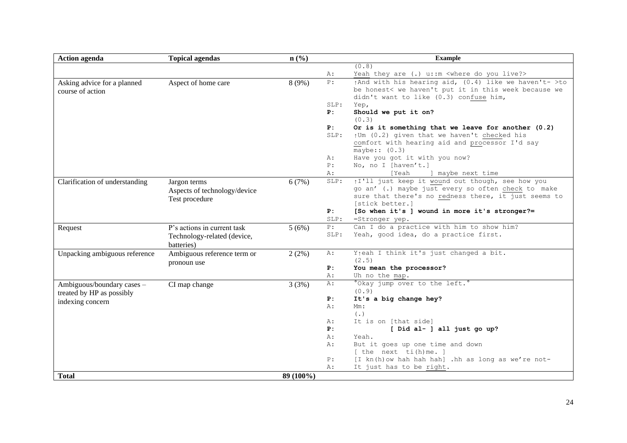| <b>Action agenda</b>                                    | <b>Topical agendas</b>                                         | n(%)      |            | <b>Example</b>                                                                                                                                                                    |
|---------------------------------------------------------|----------------------------------------------------------------|-----------|------------|-----------------------------------------------------------------------------------------------------------------------------------------------------------------------------------|
|                                                         |                                                                |           |            | (0.8)                                                                                                                                                                             |
|                                                         |                                                                |           | A:         | Yeah they are (.) u: : m < where do you live?>                                                                                                                                    |
| Asking advice for a planned<br>course of action         | Aspect of home care                                            | 8(9%)     | P:         | $\uparrow$ And with his hearing aid, (0.4) like we haven't- >to<br>be honest< we haven't put it in this week because we<br>didn't want to like (0.3) confuse him,                 |
|                                                         |                                                                |           | SLP:       | Yep,                                                                                                                                                                              |
|                                                         |                                                                |           | P:         | Should we put it on?<br>(0.3)                                                                                                                                                     |
|                                                         |                                                                |           | P:         | Or is it something that we leave for another $(0.2)$                                                                                                                              |
|                                                         |                                                                |           | SLP:       | ↑Um (0.2) given that we haven't checked his                                                                                                                                       |
|                                                         |                                                                |           |            | comfort with hearing aid and processor I'd say<br>maybe:: $(0.3)$                                                                                                                 |
|                                                         |                                                                |           | A :        | Have you got it with you now?                                                                                                                                                     |
|                                                         |                                                                |           | P:         | No, no I [haven't.]                                                                                                                                                               |
|                                                         |                                                                |           | A:         | [Yeah<br>] maybe next time                                                                                                                                                        |
| Clarification of understanding                          | Jargon terms<br>Aspects of technology/device<br>Test procedure | 6(7%)     | SLP:       | il'll just keep it wound out though, see how you<br>go an' (.) maybe just every so often check to make<br>sure that there's no redness there, it just seems to<br>[stick better.] |
|                                                         |                                                                |           | P:<br>SLP: | [So when it's ] wound in more it's stronger?=<br>=Stronger yep.                                                                                                                   |
| Request                                                 | P's actions in current task                                    | 5(6%)     | P:         | Can I do a practice with him to show him?                                                                                                                                         |
|                                                         | Technology-related (device,<br>batteries)                      |           | SLP:       | Yeah, good idea, do a practice first.                                                                                                                                             |
| Unpacking ambiguous reference                           | Ambiguous reference term or<br>pronoun use                     | 2(2%)     | A:         | Y <sub>1</sub> eah I think it's just changed a bit.<br>(2.5)                                                                                                                      |
|                                                         |                                                                |           | P:         | You mean the processor?                                                                                                                                                           |
|                                                         |                                                                |           | A:         | Uh no the map.                                                                                                                                                                    |
| Ambiguous/boundary cases -<br>treated by HP as possibly | CI map change                                                  | 3(3%)     | A:         | °Okay jump over to the left.°<br>(0.9)                                                                                                                                            |
| indexing concern                                        |                                                                |           | P:         | It's a big change hey?                                                                                                                                                            |
|                                                         |                                                                |           | A:         | $Mm$ :                                                                                                                                                                            |
|                                                         |                                                                |           | A :        | ( . )<br>It is on [that side]                                                                                                                                                     |
|                                                         |                                                                |           | P:         | [ Did al- ] all just go up?                                                                                                                                                       |
|                                                         |                                                                |           | A:         | Yeah.                                                                                                                                                                             |
|                                                         |                                                                |           | A:         | But it goes up one time and down                                                                                                                                                  |
|                                                         |                                                                |           |            | $[$ the next ti(h)me. $]$                                                                                                                                                         |
|                                                         |                                                                |           | P:         | [I kn(h) ow hah hah hah] .hh as long as we're not-                                                                                                                                |
|                                                         |                                                                |           | Α:         | It just has to be right.                                                                                                                                                          |
| <b>Total</b>                                            |                                                                | 89 (100%) |            |                                                                                                                                                                                   |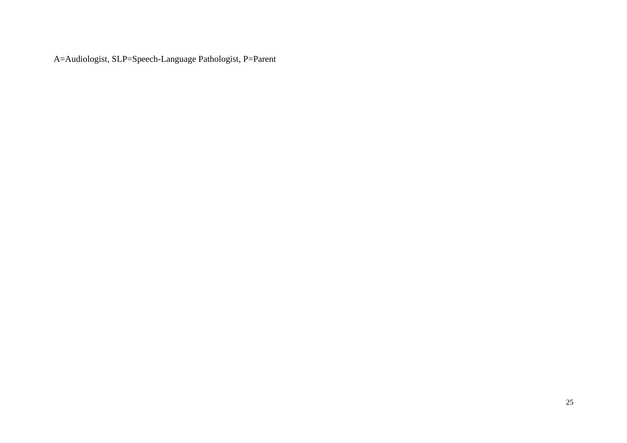A=Audiologist, SLP=Speech-Language Pathologist, P=Parent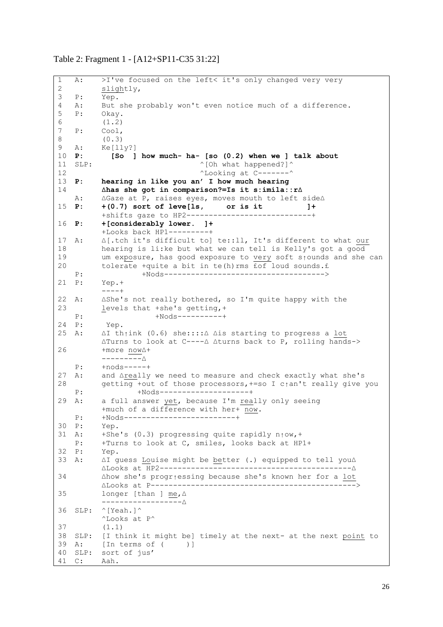#### Table 2: Fragment 1 - [A12+SP11-C35 31:22]

```
1
2
3
4
5
6
7
8
9
10 P:
11 SLP:
12
13 P:
14
15 P:
16 P:
17 A:
18
19
20
21 P:22 \text{ A}:23
24 p.
25 A:
26
27 \text{ A}:28
29 A:
30 P:
31 A:
32 P:
33 A:
34
35
36
SLP: ^[Yeah.]^
37
38
SLP: [I think it might be] timely at the next- at the next point to 
39 A:
40
SLP: sort of jus'
41 C:
   A: >I've focused on the left< it's only changed very very 
         slightly,
   P: Yep.
   A: But she probably won't even notice much of a difference.
   P: Okay.
         (1.2)
   P: Cool,
         (0.3)
   A: Ke[lly?]
         P: [So ] how much- ha- [so (0.2) when we ] talk about
                               \degree [Oh what happened?]\degree^Looking at C-------^
         P: hearing in like you an' I how much hearing
         ∆has she got in comparison?=Is it s:imila::r∆ 
   A: ∆Gaze at P, raises eyes, moves mouth to left side∆
         P: +(0.7) sort of leve[ls, or is it ]+
         +shifts gaze to HP2----------------------------+
         P: +[considerably lower. ]+
         +Looks back HP1---------+
         A: ∆[.tch it's difficult to] te::ll, It's different to what our
         hearing is li:ke but what we can tell is Kelly's got a good 
         um exposure, has good exposure to very soft s↑ounds and she can 
         tolerate +quite a bit in te(h) rms \overline{f} for loud sounds. £
   P: +Nods------------------------------------>
         P: Yep.+
         ----+
         ∆She's not really bothered, so I'm quite happy with the
         levels that +she's getting,+
   P: +Nods----------+
         Yep.
         A: ∆I th↑ink (0.6) she::::∆ ∆is starting to progress a lot
         ∆Turns to look at C----∆ ∆turns back to P, rolling hands->
         +more now∆+
         ---------∆
   P: +nods-----+
         and ∆really we need to measure and check exactly what she's
         getting +out of those processors, +=so I c<sub>↑</sub>an't really give you
   P: +Nods--------------------+
         a full answer yet, because I'm really only seeing
         +much of a difference with her+ now.
   P: +Nods-------------------------+
         Yep.
         +She's (0.3) progressing quite rapidly n↑ow, +
   P: +Turns to look at C, smiles, looks back at HP1+
         P: Yep.
         ∆I guess Louise might be better (.) equipped to tell you∆
         ∆Looks at HP2-------------------------------------------∆ 
         ∆how she's progr↑essing because she's known her for a lot
         ∆Looks at P---------------------------------------------->
         longer [than ] me,∆
         ------------------∆
         ^Looks at P^
         (1.1)
         [In terms of ( )]
        Aah.
```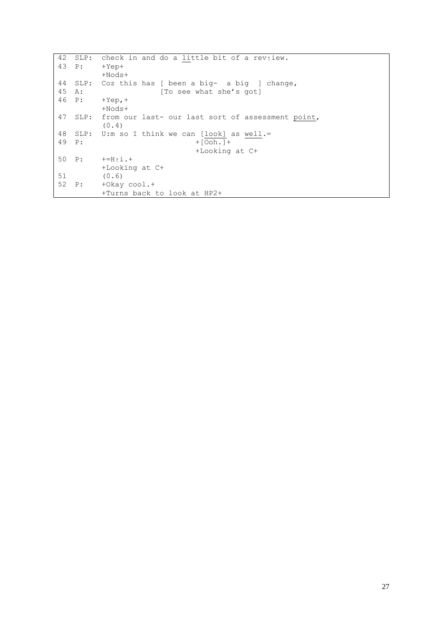42 SLP: check in and do a little bit of a rev<sub>iew</sub>.  $43 P:$ 44 45  $46 P:$ 47 SLP: from our last- our last sort of assessment point, 48 49 50 P: 51 52 P: +Yep+ +Nods+ SLP: Coz this has [ been a big- a big ] change, A: [To see what she's got]  $+$ Yep, $+$ +Nods+ (0.4) SLP: U:m so I think we can [look] as well.= P: +[Ooh.]+ +Looking at C+  $+=$ H↑i.+ +Looking at C+ (0.6) +Okay cool.+ +Turns back to look at HP2+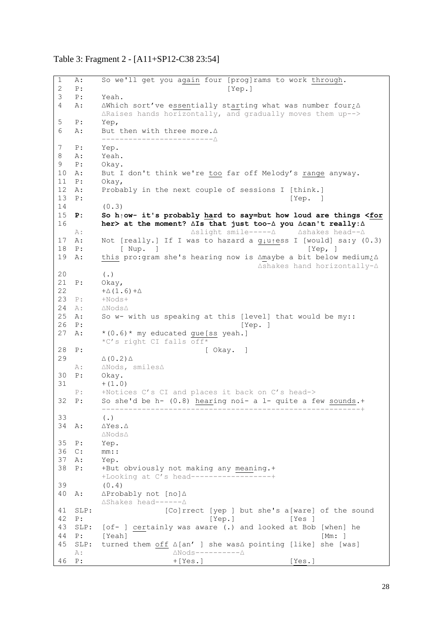# Table 3: Fragment 2 - [A11+SP12-C38 23:54]

| 1            | Α:   | So we'll get you again four [prog]rams to work through.                                                                                       |
|--------------|------|-----------------------------------------------------------------------------------------------------------------------------------------------|
| $\mathbf{2}$ | P:   | [Yep.]                                                                                                                                        |
| 3            | P:   | Yeah.                                                                                                                                         |
| 4            | Α:   | $\Delta$ Which sort've essentially starting what was number four $\zeta \Delta$<br>ARaises hands horizontally, and gradually moves them up--> |
| 5            | P:   | Yep,                                                                                                                                          |
| 6            | Α:   | But then with three more. $\Delta$                                                                                                            |
| 7            | P:   | Yep.                                                                                                                                          |
| 8            | Α:   | Yeah.                                                                                                                                         |
| 9            | P:   | Okay.                                                                                                                                         |
| 10           | Α:   | But I don't think we're too far off Melody's range anyway.                                                                                    |
| 11           | P:   | Okay,                                                                                                                                         |
| 12           | Α:   | Probably in the next couple of sessions I [think.]                                                                                            |
| 13           | P:   | [Yep. ]                                                                                                                                       |
| 14           |      | (0.3)                                                                                                                                         |
| 15           | P:   | So $h_1$ ow- it's probably hard to say=but how loud are things <for< td=""></for<>                                                            |
| 16           |      | her> at the moment? AIs that just too-A you Acan't really: A                                                                                  |
|              | A :  | △slight smile-----△ △shakes head--△                                                                                                           |
| 17           | А:   | Not [really.] If I was to hazard a $g\mu\$ {ess} I [would] sa:y (0.3)                                                                         |
| 18           | P:   | [ Nup. ]<br>[Yep, ]                                                                                                                           |
| 19           | Α:   | this pro:gram she's hearing now is Amaybe a bit below medium¿A<br>∆shakes hand horizontally-∆                                                 |
| 20           |      | ( . )                                                                                                                                         |
| 21           | P:   | $O$ kay,                                                                                                                                      |
| 22           |      | $+\Delta(1.6)+\Delta$                                                                                                                         |
| 23           | P:   | $+N$ ods+                                                                                                                                     |
| 24           | A :  | $\triangle N$ ods $\triangle$                                                                                                                 |
| 25           | А:   | So w- with us speaking at this [level] that would be my::                                                                                     |
| 26           | P:   | [Yep.]                                                                                                                                        |
| 27           | Α:   | *(0.6)* my educated gue[ss yeah.]<br>*C's right CI falls off*                                                                                 |
| 28           | P:   | [ Okay. ]                                                                                                                                     |
| 29           |      | $\triangle$ (0.2) $\triangle$                                                                                                                 |
|              | A :  | $\triangle$ Nods, smiles $\triangle$                                                                                                          |
| 30           | P:   | Okay.                                                                                                                                         |
| 31           |      | $+ (1.0)$                                                                                                                                     |
|              | P:   | +Notices C's CI and places it back on C's head->                                                                                              |
| 32           | P:   | So she'd be h- (0.8) hearing noi- a 1- quite a few sounds.+                                                                                   |
|              |      |                                                                                                                                               |
| 33           |      | $(\cdot)$                                                                                                                                     |
| 34           | Α:   | $\Delta Yes. \Delta$                                                                                                                          |
|              |      | $\triangle N$ ods $\triangle$                                                                                                                 |
| 35           | P:   | Yep.                                                                                                                                          |
| 36           | C:   | $mm:$ :                                                                                                                                       |
| 37           | A :  | Yep.                                                                                                                                          |
| 38           | P:   | +But obviously not making any meaning.+                                                                                                       |
|              |      | +Looking at C's head------------------+                                                                                                       |
| 39           |      | (0.4)                                                                                                                                         |
| 40           | Α:   | ∆Probably not [no]∆<br>∆Shakes head------△                                                                                                    |
| 41           | SLP: | [Co]rrect [yep ] but she's a[ware] of the sound                                                                                               |
| 42           | P:   | [Yep.]<br>[Yes ]                                                                                                                              |
| 43           | SLP: | [of- ] certainly was aware (.) and looked at Bob [when] he                                                                                    |
| 44           | P:   | [Yeah]<br>[Mm: ]                                                                                                                              |
| 45           | SLP: | turned them off ∆[an' ] she was∆ pointing [like] she [was]                                                                                    |
|              | A :  | $\triangle N$ ods--------- $\triangle$                                                                                                        |
| 46           | P:   | $+[Yes.]$<br>[Yes.]                                                                                                                           |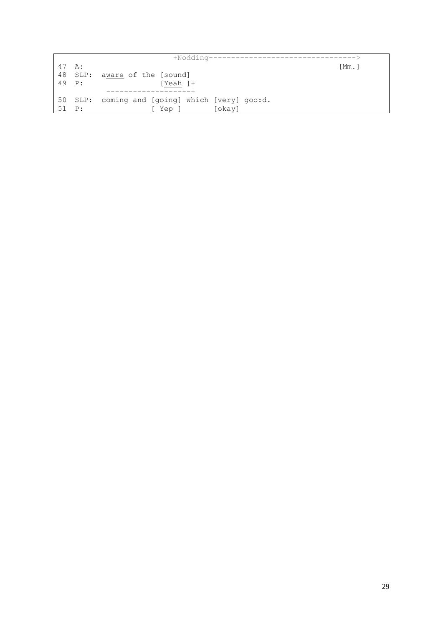| 47 A: |                | Mm.                                            |  |
|-------|----------------|------------------------------------------------|--|
|       | 48 SLP:        | aware of the [sound]                           |  |
| 49 P: |                | [Yeah ]+                                       |  |
|       |                |                                                |  |
|       |                | 50 SLP: coming and [going] which [very] goo:d. |  |
| 51    | $\mathbb{P}$ : | [okay]<br>Yep ]                                |  |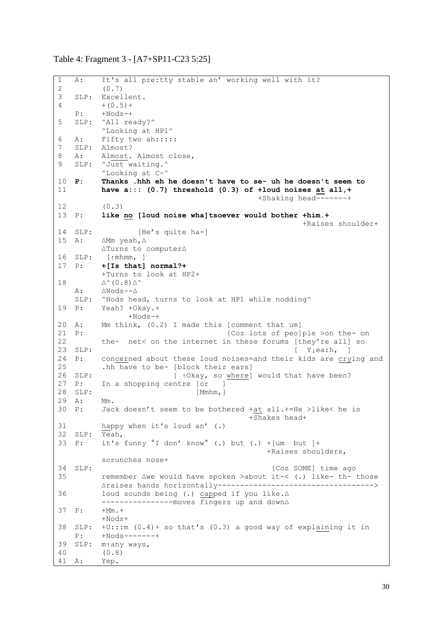Table 4: Fragment 3 - [A7+SP11-C23 5:25]

```
1
2
3
\Delta5
6<sup>6</sup>7
8
9
10 P:
11
12
13 P:
14 SLP:
15 A:
16 SLP:
17 P:
18
19 P:
20 A:
21 P:
22
23 SLP:
24 P:25
26 SLP:
27 P:
28 SLP:
29 A:
30 P:
31
32
SLP: Yeah,
33 P:
34 SLP:
35
36
37 P:
38
SLP: +U:::m (0.4)+ so that's (0.3) a good way of explaining it in 
39
SLP: m↑any ways,
40
41 A:
    A: It's all pre:tty stable an' working well with it? 
          (0.7)
   SLP: Excellent.
         +(0.5) +
   P: +Nods-+
  SLP: ^All ready?^
         ^Looking at HP1^
   A: Fifty two ah:::::
  SLP: Almost?
  A: Almost. Almost close, 
  SLP: ^Just waiting.^
         ^Looking at C-^
         P: Thanks .hhh eh he doesn't have to se- uh he doesn't seem to
         have a::: (0.7) threshold (0.3) of +loud noises at all,+
                                               +Shaking head-------+ 
          (0.3)
         like no [loud noise wha]tsoever would bother +him.+
                                                         +Raises shoulder+
                  [He's quite ha-]
         A: ∆Mm yeah,∆
         ∆Turns to computer∆
          \lceil \uparrow \text{mhmm}, \quad \rceilP: +[Is that] normal?+
          +Turns to look at HP2+
         ∆^(0.8)∆^
   A: ∆Nods--∆
   SLP: ^Nods head, turns to look at HP1 while nodding^
         Yeah? +Okay.+
                +N\cap d = +Mm think, (0.2) I made this [comment that um]
                                       [Coz lots of peo]ple >on the- on
         the- net< on the internet in these forums [they're all] so
                                                      [Y\neq a:h, ]concerned about these loud noises=and their kids are crying and
          .hh have to be- [block their ears]
                          [ ↑ Okay, so where] would that have been?
         In a shopping centre [or ]
                                [Mmhm,]A: Mm.
         Jack doesn't seem to be bothered +at all.+=He >like< he is
                                             +Shakes head+
          happy when it's loud an' (.)
         it's funny ^{\circ}I don' know^{\circ} (.) but (.) +[um but ]+
                                                 +Raises shoulders, 
          scrunches nose+
                                                 [Coz SOME] time ago
         remember ∆we would have spoken >about it-< (.) like- th- those 
          ∆raises hands horizontally----------------------------------->
          loud sounds being (.) capped if you like.∆
          ----------------moves fingers up and down∆
         +Mm. ++Nods+
   P: +Nods-------+
         (0.8)
         A: Yep.
```